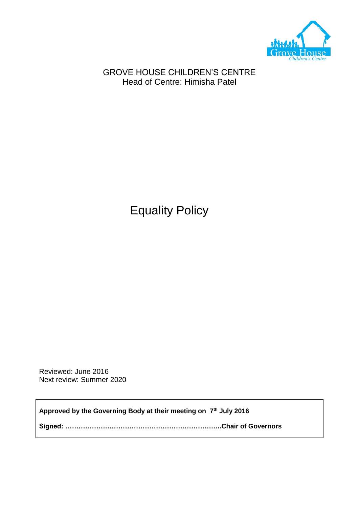

GROVE HOUSE CHILDREN'S CENTRE Head of Centre: Himisha Patel

Equality Policy

Reviewed: June 2016 Next review: Summer 2020

**Approved by the Governing Body at their meeting on 7 th July 2016**

**Signed: ……………………………………………………………..Chair of Governors**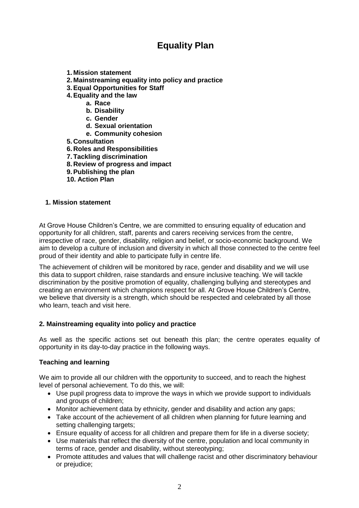# **Equality Plan**

- **1. Mission statement**
- **2. Mainstreaming equality into policy and practice**
- **3.Equal Opportunities for Staff**
- **4.Equality and the law**
	- **a. Race**
		- **b. Disability**
		- **c. Gender**
		- **d. Sexual orientation**
		- **e. Community cohesion**
- **5. Consultation**
- **6. Roles and Responsibilities**
- **7. Tackling discrimination**
- **8. Review of progress and impact**
- **9.Publishing the plan**
- **10. Action Plan**

#### **1. Mission statement**

At Grove House Children's Centre, we are committed to ensuring equality of education and opportunity for all children, staff, parents and carers receiving services from the centre, irrespective of race, gender, disability, religion and belief, or socio-economic background. We aim to develop a culture of inclusion and diversity in which all those connected to the centre feel proud of their identity and able to participate fully in centre life.

The achievement of children will be monitored by race, gender and disability and we will use this data to support children, raise standards and ensure inclusive teaching. We will tackle discrimination by the positive promotion of equality, challenging bullying and stereotypes and creating an environment which champions respect for all. At Grove House Children's Centre, we believe that diversity is a strength, which should be respected and celebrated by all those who learn, teach and visit here.

#### **2. Mainstreaming equality into policy and practice**

As well as the specific actions set out beneath this plan; the centre operates equality of opportunity in its day-to-day practice in the following ways.

#### **Teaching and learning**

We aim to provide all our children with the opportunity to succeed, and to reach the highest level of personal achievement. To do this, we will:

- Use pupil progress data to improve the ways in which we provide support to individuals and groups of children;
- Monitor achievement data by ethnicity, gender and disability and action any gaps;
- Take account of the achievement of all children when planning for future learning and setting challenging targets;
- Ensure equality of access for all children and prepare them for life in a diverse society;
- Use materials that reflect the diversity of the centre, population and local community in terms of race, gender and disability, without stereotyping;
- Promote attitudes and values that will challenge racist and other discriminatory behaviour or prejudice;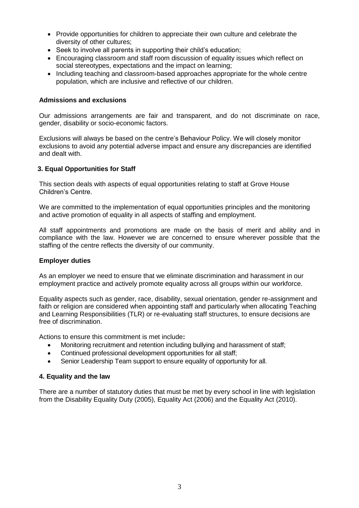- Provide opportunities for children to appreciate their own culture and celebrate the diversity of other cultures;
- Seek to involve all parents in supporting their child's education;
- Encouraging classroom and staff room discussion of equality issues which reflect on social stereotypes, expectations and the impact on learning;
- Including teaching and classroom-based approaches appropriate for the whole centre population, which are inclusive and reflective of our children.

#### **Admissions and exclusions**

Our admissions arrangements are fair and transparent, and do not discriminate on race, gender, disability or socio-economic factors.

Exclusions will always be based on the centre's Behaviour Policy. We will closely monitor exclusions to avoid any potential adverse impact and ensure any discrepancies are identified and dealt with.

#### **3. Equal Opportunities for Staff**

This section deals with aspects of equal opportunities relating to staff at Grove House Children's Centre.

We are committed to the implementation of equal opportunities principles and the monitoring and active promotion of equality in all aspects of staffing and employment.

All staff appointments and promotions are made on the basis of merit and ability and in compliance with the law. However we are concerned to ensure wherever possible that the staffing of the centre reflects the diversity of our community.

#### **Employer duties**

As an employer we need to ensure that we eliminate discrimination and harassment in our employment practice and actively promote equality across all groups within our workforce.

Equality aspects such as gender, race, disability, sexual orientation, gender re-assignment and faith or religion are considered when appointing staff and particularly when allocating Teaching and Learning Responsibilities (TLR) or re-evaluating staff structures, to ensure decisions are free of discrimination.

Actions to ensure this commitment is met include**:** 

- Monitoring recruitment and retention including bullying and harassment of staff;
- Continued professional development opportunities for all staff;
- Senior Leadership Team support to ensure equality of opportunity for all.

#### **4. Equality and the law**

There are a number of statutory duties that must be met by every school in line with legislation from the Disability Equality Duty (2005), Equality Act (2006) and the Equality Act (2010).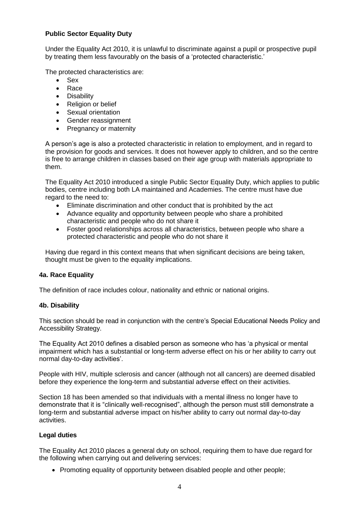# **Public Sector Equality Duty**

Under the Equality Act 2010, it is unlawful to discriminate against a pupil or prospective pupil by treating them less favourably on the basis of a 'protected characteristic.'

The protected characteristics are:

- Sex
- Race
- Disability
- Religion or belief
- Sexual orientation
- Gender reassignment
- Pregnancy or maternity

A person's age is also a protected characteristic in relation to employment, and in regard to the provision for goods and services. It does not however apply to children, and so the centre is free to arrange children in classes based on their age group with materials appropriate to them.

The Equality Act 2010 introduced a single Public Sector Equality Duty, which applies to public bodies, centre including both LA maintained and Academies. The centre must have due regard to the need to:

- Eliminate discrimination and other conduct that is prohibited by the act
- Advance equality and opportunity between people who share a prohibited characteristic and people who do not share it
- Foster good relationships across all characteristics, between people who share a protected characteristic and people who do not share it

Having due regard in this context means that when significant decisions are being taken, thought must be given to the equality implications.

## **4a. Race Equality**

The definition of race includes colour, nationality and ethnic or national origins.

## **4b. Disability**

This section should be read in conjunction with the centre's Special Educational Needs Policy and Accessibility Strategy.

The Equality Act 2010 defines a disabled person as someone who has 'a physical or mental impairment which has a substantial or long-term adverse effect on his or her ability to carry out normal day-to-day activities'.

People with HIV, multiple sclerosis and cancer (although not all cancers) are deemed disabled before they experience the long-term and substantial adverse effect on their activities.

Section 18 has been amended so that individuals with a mental illness no longer have to demonstrate that it is "clinically well-recognised", although the person must still demonstrate a long-term and substantial adverse impact on his/her ability to carry out normal day-to-day activities.

## **Legal duties**

The Equality Act 2010 places a general duty on school, requiring them to have due regard for the following when carrying out and delivering services:

• Promoting equality of opportunity between disabled people and other people;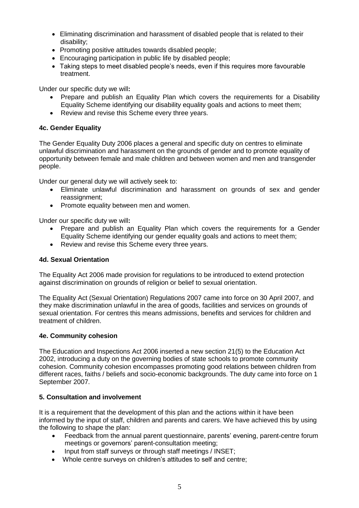- Eliminating discrimination and harassment of disabled people that is related to their disability;
- Promoting positive attitudes towards disabled people:
- Encouraging participation in public life by disabled people;
- Taking steps to meet disabled people's needs, even if this requires more favourable treatment.

Under our specific duty we will**:**

- Prepare and publish an Equality Plan which covers the requirements for a Disability Equality Scheme identifying our disability equality goals and actions to meet them;
- Review and revise this Scheme every three years.

# **4c. Gender Equality**

The Gender Equality Duty 2006 places a general and specific duty on centres to eliminate unlawful discrimination and harassment on the grounds of gender and to promote equality of opportunity between female and male children and between women and men and transgender people.

Under our general duty we will actively seek to:

- Eliminate unlawful discrimination and harassment on grounds of sex and gender reassignment;
- Promote equality between men and women.

Under our specific duty we will**:**

- Prepare and publish an Equality Plan which covers the requirements for a Gender Equality Scheme identifying our gender equality goals and actions to meet them;
- Review and revise this Scheme every three years.

## **4d. Sexual Orientation**

The Equality Act 2006 made provision for regulations to be introduced to extend protection against discrimination on grounds of religion or belief to sexual orientation.

The Equality Act (Sexual Orientation) Regulations 2007 came into force on 30 April 2007, and they make discrimination unlawful in the area of goods, facilities and services on grounds of sexual orientation. For centres this means admissions, benefits and services for children and treatment of children.

## **4e. Community cohesion**

The Education and Inspections Act 2006 inserted a new section 21(5) to the Education Act 2002, introducing a duty on the governing bodies of state schools to promote community cohesion. Community cohesion encompasses promoting good relations between children from different races, faiths / beliefs and socio-economic backgrounds. The duty came into force on 1 September 2007.

# **5. Consultation and involvement**

It is a requirement that the development of this plan and the actions within it have been informed by the input of staff, children and parents and carers. We have achieved this by using the following to shape the plan:

- Feedback from the annual parent questionnaire, parents' evening, parent-centre forum meetings or governors' parent-consultation meeting;
- Input from staff surveys or through staff meetings / INSET;
- Whole centre surveys on children's attitudes to self and centre;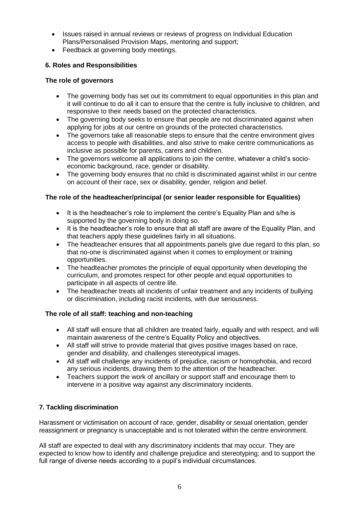- Issues raised in annual reviews or reviews of progress on Individual Education Plans/Personalised Provision Maps, mentoring and support;
- Feedback at governing body meetings.

# **6. Roles and Responsibilities**

## **The role of governors**

- The governing body has set out its commitment to equal opportunities in this plan and it will continue to do all it can to ensure that the centre is fully inclusive to children, and responsive to their needs based on the protected characteristics.
- The governing body seeks to ensure that people are not discriminated against when applying for jobs at our centre on grounds of the protected characteristics.
- The governors take all reasonable steps to ensure that the centre environment gives access to people with disabilities, and also strive to make centre communications as inclusive as possible for parents, carers and children.
- The governors welcome all applications to join the centre, whatever a child's socioeconomic background, race, gender or disability.
- The governing body ensures that no child is discriminated against whilst in our centre on account of their race, sex or disability, gender, religion and belief.

# **The role of the headteacher/principal (or senior leader responsible for Equalities)**

- It is the headteacher's role to implement the centre's Equality Plan and s/he is supported by the governing body in doing so.
- It is the headteacher's role to ensure that all staff are aware of the Equality Plan, and that teachers apply these guidelines fairly in all situations.
- The headteacher ensures that all appointments panels give due regard to this plan, so that no-one is discriminated against when it comes to employment or training opportunities.
- The headteacher promotes the principle of equal opportunity when developing the curriculum, and promotes respect for other people and equal opportunities to participate in all aspects of centre life.
- The headteacher treats all incidents of unfair treatment and any incidents of bullying or discrimination, including racist incidents, with due seriousness.

# **The role of all staff: teaching and non-teaching**

- All staff will ensure that all children are treated fairly, equally and with respect, and will maintain awareness of the centre's Equality Policy and objectives.
- All staff will strive to provide material that gives positive images based on race, gender and disability, and challenges stereotypical images.
- All staff will challenge any incidents of prejudice, racism or homophobia, and record any serious incidents, drawing them to the attention of the headteacher.
- Teachers support the work of ancillary or support staff and encourage them to intervene in a positive way against any discriminatory incidents.

# **7. Tackling discrimination**

Harassment or victimisation on account of race, gender, disability or sexual orientation, gender reassignment or pregnancy is unacceptable and is not tolerated within the centre environment.

All staff are expected to deal with any discriminatory incidents that may occur. They are expected to know how to identify and challenge prejudice and stereotyping; and to support the full range of diverse needs according to a pupil's individual circumstances.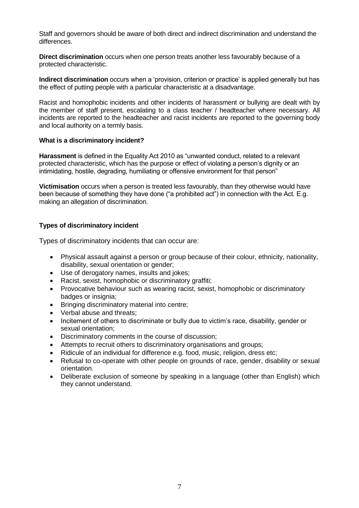Staff and governors should be aware of both direct and indirect discrimination and understand the differences.

**Direct discrimination** occurs when one person treats another less favourably because of a protected characteristic.

**Indirect discrimination** occurs when a 'provision, criterion or practice' is applied generally but has the effect of putting people with a particular characteristic at a disadvantage.

Racist and homophobic incidents and other incidents of harassment or bullying are dealt with by the member of staff present, escalating to a class teacher / headteacher where necessary. All incidents are reported to the headteacher and racist incidents are reported to the governing body and local authority on a termly basis.

#### **What is a discriminatory incident?**

**Harassment** is defined in the Equality Act 2010 as "unwanted conduct, related to a relevant protected characteristic, which has the purpose or effect of violating a person's dignity or an intimidating, hostile, degrading, humiliating or offensive environment for that person"

**Victimisation** occurs when a person is treated less favourably, than they otherwise would have been because of something they have done ("a prohibited act") in connection with the Act. E.g. making an allegation of discrimination.

# **Types of discriminatory incident**

Types of discriminatory incidents that can occur are:

- Physical assault against a person or group because of their colour, ethnicity, nationality, disability, sexual orientation or gender;
- Use of derogatory names, insults and jokes;
- Racist, sexist, homophobic or discriminatory graffiti;
- Provocative behaviour such as wearing racist, sexist, homophobic or discriminatory badges or insignia;
- Bringing discriminatory material into centre;
- Verbal abuse and threats;
- Incitement of others to discriminate or bully due to victim's race, disability, gender or sexual orientation;
- Discriminatory comments in the course of discussion;
- Attempts to recruit others to discriminatory organisations and groups;
- Ridicule of an individual for difference e.g. food, music, religion, dress etc;
- Refusal to co-operate with other people on grounds of race, gender, disability or sexual orientation.
- Deliberate exclusion of someone by speaking in a language (other than English) which they cannot understand.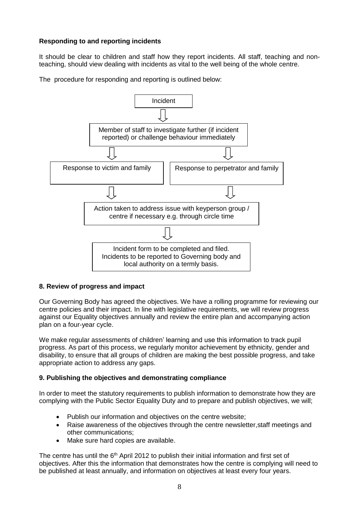# **Responding to and reporting incidents**

It should be clear to children and staff how they report incidents. All staff, teaching and nonteaching, should view dealing with incidents as vital to the well being of the whole centre.

The procedure for responding and reporting is outlined below:



## **8. Review of progress and impact**

Our Governing Body has agreed the objectives. We have a rolling programme for reviewing our centre policies and their impact. In line with legislative requirements, we will review progress against our Equality objectives annually and review the entire plan and accompanying action plan on a four-year cycle.

We make regular assessments of children' learning and use this information to track pupil progress. As part of this process, we regularly monitor achievement by ethnicity, gender and disability, to ensure that all groups of children are making the best possible progress, and take appropriate action to address any gaps.

## **9. Publishing the objectives and demonstrating compliance**

In order to meet the statutory requirements to publish information to demonstrate how they are complying with the Public Sector Equality Duty and to prepare and publish objectives, we will;

- Publish our information and objectives on the centre website;
- Raise awareness of the objectives through the centre newsletter,staff meetings and other communications;
- Make sure hard copies are available.

The centre has until the 6<sup>th</sup> April 2012 to publish their initial information and first set of objectives. After this the information that demonstrates how the centre is complying will need to be published at least annually, and information on objectives at least every four years.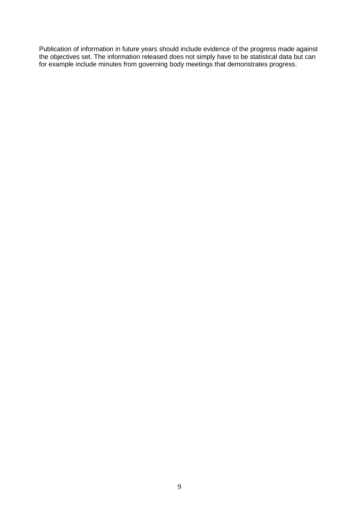Publication of information in future years should include evidence of the progress made against the objectives set. The information released does not simply have to be statistical data but can for example include minutes from governing body meetings that demonstrates progress.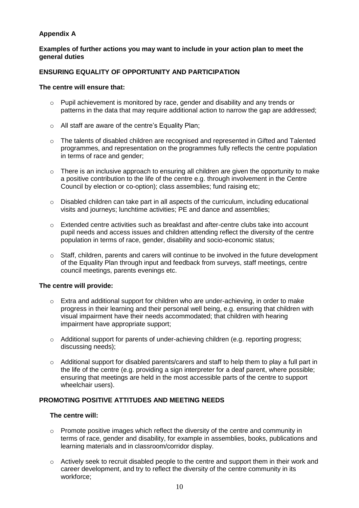# **Appendix A**

## **Examples of further actions you may want to include in your action plan to meet the general duties**

# **ENSURING EQUALITY OF OPPORTUNITY AND PARTICIPATION**

#### **The centre will ensure that:**

- $\circ$  Pupil achievement is monitored by race, gender and disability and any trends or patterns in the data that may require additional action to narrow the gap are addressed:
- o All staff are aware of the centre's Equality Plan;
- $\circ$  The talents of disabled children are recognised and represented in Gifted and Talented programmes, and representation on the programmes fully reflects the centre population in terms of race and gender;
- $\circ$  There is an inclusive approach to ensuring all children are given the opportunity to make a positive contribution to the life of the centre e.g. through involvement in the Centre Council by election or co-option); class assemblies; fund raising etc;
- $\circ$  Disabled children can take part in all aspects of the curriculum, including educational visits and journeys; lunchtime activities; PE and dance and assemblies;
- $\circ$  Extended centre activities such as breakfast and after-centre clubs take into account pupil needs and access issues and children attending reflect the diversity of the centre population in terms of race, gender, disability and socio-economic status;
- $\circ$  Staff, children, parents and carers will continue to be involved in the future development of the Equality Plan through input and feedback from surveys, staff meetings, centre council meetings, parents evenings etc.

## **The centre will provide:**

- $\circ$  Extra and additional support for children who are under-achieving, in order to make progress in their learning and their personal well being, e.g. ensuring that children with visual impairment have their needs accommodated; that children with hearing impairment have appropriate support;
- o Additional support for parents of under-achieving children (e.g. reporting progress; discussing needs);
- $\circ$  Additional support for disabled parents/carers and staff to help them to play a full part in the life of the centre (e.g. providing a sign interpreter for a deaf parent, where possible; ensuring that meetings are held in the most accessible parts of the centre to support wheelchair users).

# **PROMOTING POSITIVE ATTITUDES AND MEETING NEEDS**

## **The centre will:**

- o Promote positive images which reflect the diversity of the centre and community in terms of race, gender and disability, for example in assemblies, books, publications and learning materials and in classroom/corridor display.
- $\circ$  Actively seek to recruit disabled people to the centre and support them in their work and career development, and try to reflect the diversity of the centre community in its workforce;